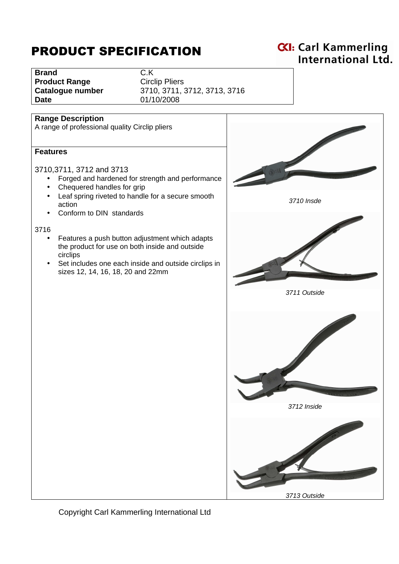# PRODUCT SPECIFICATION

**Brand** C.K **Product Range Circlip Pliers Date** 01/10/2008

**Catalogue number** 3710, 3711, 3712, 3713, 3716

### **Range Description**

A range of professional quality Circlip pliers

### **Features**

#### 3710,3711, 3712 and 3713

- Forged and hardened for strength and performance
- Chequered handles for grip
- Leaf spring riveted to handle for a secure smooth action
- Conform to DIN standards

#### 3716

- Features a push button adjustment which adapts the product for use on both inside and outside circlips
- Set includes one each inside and outside circlips in sizes 12, 14, 16, 18, 20 and 22mm



3713 Outside

Copyright Carl Kammerling International Ltd

# **KI: Carl Kammerling** International Ltd.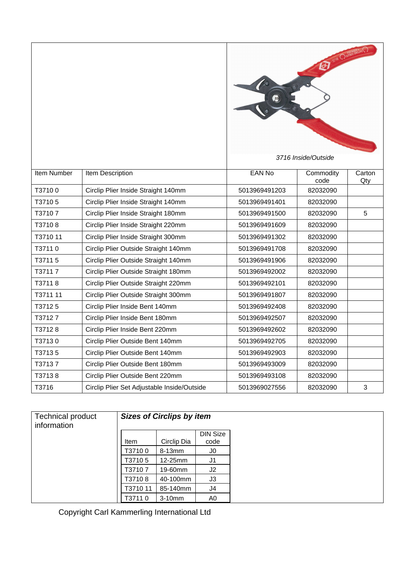

3716 Inside/Outside

| Item Number | Item Description                            | <b>EAN No</b> | Commodity<br>code | Carton<br>Qty |
|-------------|---------------------------------------------|---------------|-------------------|---------------|
| T37100      | Circlip Plier Inside Straight 140mm         | 5013969491203 | 82032090          |               |
| T37105      | Circlip Plier Inside Straight 140mm         | 5013969491401 | 82032090          |               |
| T37107      | Circlip Plier Inside Straight 180mm         | 5013969491500 | 82032090          | 5             |
| T37108      | Circlip Plier Inside Straight 220mm         | 5013969491609 | 82032090          |               |
| T3710 11    | Circlip Plier Inside Straight 300mm         | 5013969491302 | 82032090          |               |
| T37110      | Circlip Plier Outside Straight 140mm        | 5013969491708 | 82032090          |               |
| T37115      | Circlip Plier Outside Straight 140mm        | 5013969491906 | 82032090          |               |
| T37117      | Circlip Plier Outside Straight 180mm        | 5013969492002 | 82032090          |               |
| T37118      | Circlip Plier Outside Straight 220mm        | 5013969492101 | 82032090          |               |
| T3711 11    | Circlip Plier Outside Straight 300mm        | 5013969491807 | 82032090          |               |
| T37125      | Circlip Plier Inside Bent 140mm             | 5013969492408 | 82032090          |               |
| T37127      | Circlip Plier Inside Bent 180mm             | 5013969492507 | 82032090          |               |
| T37128      | Circlip Plier Inside Bent 220mm             | 5013969492602 | 82032090          |               |
| T37130      | Circlip Plier Outside Bent 140mm            | 5013969492705 | 82032090          |               |
| T37135      | Circlip Plier Outside Bent 140mm            | 5013969492903 | 82032090          |               |
| T37137      | Circlip Plier Outside Bent 180mm            | 5013969493009 | 82032090          |               |
| T37138      | Circlip Plier Outside Bent 220mm            | 5013969493108 | 82032090          |               |
| T3716       | Circlip Plier Set Adjustable Inside/Outside | 5013969027556 | 82032090          | 3             |

| <b>Technical product</b><br>information |          | <b>Sizes of Circlips by item</b> |                         |
|-----------------------------------------|----------|----------------------------------|-------------------------|
|                                         | Item     | Circlip Dia                      | <b>DIN Size</b><br>code |
|                                         | T37100   | 8-13mm                           | J0                      |
|                                         | T3710 5  | 12-25mm                          | J1                      |
|                                         | T37107   | 19-60mm                          | J <sub>2</sub>          |
|                                         | T37108   | 40-100mm                         | J3                      |
|                                         | T3710 11 | 85-140mm                         | J4                      |
|                                         | T37110   | $3-10$ mm                        | A0                      |

Copyright Carl Kammerling International Ltd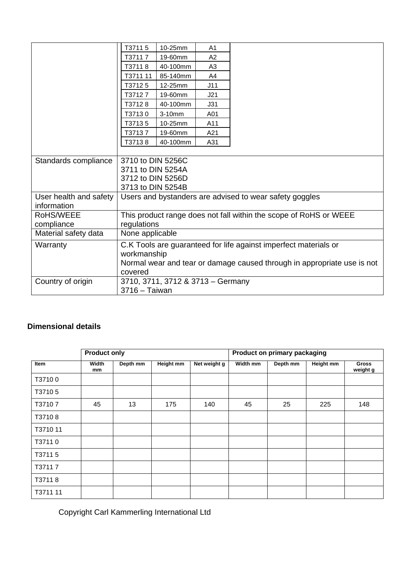|                        | T37115                                                                  | 10-25mm                           | A <sub>1</sub> |                                                                   |  |  |
|------------------------|-------------------------------------------------------------------------|-----------------------------------|----------------|-------------------------------------------------------------------|--|--|
|                        | T37117                                                                  | 19-60mm                           | A2             |                                                                   |  |  |
|                        | T37118                                                                  | 40-100mm                          | A <sub>3</sub> |                                                                   |  |  |
|                        | T3711 11                                                                | 85-140mm                          | A4             |                                                                   |  |  |
|                        | T37125                                                                  | 12-25mm                           | J11            |                                                                   |  |  |
|                        | T37127                                                                  | 19-60mm                           | J21            |                                                                   |  |  |
|                        | T37128                                                                  | 40-100mm                          | J31            |                                                                   |  |  |
|                        | T37130                                                                  | 3-10mm                            | A01            |                                                                   |  |  |
|                        | T37135                                                                  | $10-25$ mm                        | A11            |                                                                   |  |  |
|                        | T37137                                                                  | 19-60mm                           | A21            |                                                                   |  |  |
|                        | T37138                                                                  | 40-100mm                          | A31            |                                                                   |  |  |
|                        |                                                                         |                                   |                |                                                                   |  |  |
| Standards compliance   | 3710 to DIN 5256C                                                       |                                   |                |                                                                   |  |  |
|                        | 3711 to DIN 5254A                                                       |                                   |                |                                                                   |  |  |
|                        | 3712 to DIN 5256D                                                       |                                   |                |                                                                   |  |  |
|                        | 3713 to DIN 5254B                                                       |                                   |                |                                                                   |  |  |
| User health and safety |                                                                         |                                   |                | Users and bystanders are advised to wear safety goggles           |  |  |
| information            |                                                                         |                                   |                |                                                                   |  |  |
| RoHS/WEEE              |                                                                         |                                   |                | This product range does not fall within the scope of RoHS or WEEE |  |  |
| compliance             | regulations                                                             |                                   |                |                                                                   |  |  |
| Material safety data   | None applicable                                                         |                                   |                |                                                                   |  |  |
| Warranty               |                                                                         |                                   |                | C.K Tools are guaranteed for life against imperfect materials or  |  |  |
|                        | workmanship                                                             |                                   |                |                                                                   |  |  |
|                        | Normal wear and tear or damage caused through in appropriate use is not |                                   |                |                                                                   |  |  |
|                        | covered                                                                 |                                   |                |                                                                   |  |  |
| Country of origin      |                                                                         | 3710, 3711, 3712 & 3713 - Germany |                |                                                                   |  |  |
|                        | $3716 -$ Taiwan                                                         |                                   |                |                                                                   |  |  |

## **Dimensional details**

|             | <b>Product only</b> |          |           |              | Product on primary packaging |          |           |                          |
|-------------|---------------------|----------|-----------|--------------|------------------------------|----------|-----------|--------------------------|
| <b>Item</b> | Width<br>mm         | Depth mm | Height mm | Net weight g | Width mm                     | Depth mm | Height mm | <b>Gross</b><br>weight g |
| T37100      |                     |          |           |              |                              |          |           |                          |
| T37105      |                     |          |           |              |                              |          |           |                          |
| T37107      | 45                  | 13       | 175       | 140          | 45                           | 25       | 225       | 148                      |
| T37108      |                     |          |           |              |                              |          |           |                          |
| T3710 11    |                     |          |           |              |                              |          |           |                          |
| T37110      |                     |          |           |              |                              |          |           |                          |
| T37115      |                     |          |           |              |                              |          |           |                          |
| T37117      |                     |          |           |              |                              |          |           |                          |
| T37118      |                     |          |           |              |                              |          |           |                          |
| T3711 11    |                     |          |           |              |                              |          |           |                          |

Copyright Carl Kammerling International Ltd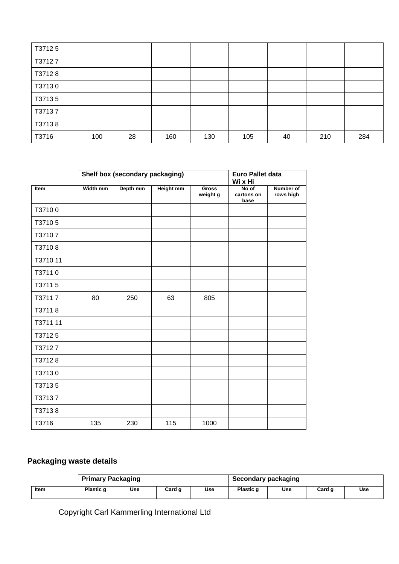| T37125 |     |    |     |     |     |    |     |     |
|--------|-----|----|-----|-----|-----|----|-----|-----|
| T37127 |     |    |     |     |     |    |     |     |
| T37128 |     |    |     |     |     |    |     |     |
| T37130 |     |    |     |     |     |    |     |     |
| T37135 |     |    |     |     |     |    |     |     |
| T37137 |     |    |     |     |     |    |     |     |
| T37138 |     |    |     |     |     |    |     |     |
| T3716  | 100 | 28 | 160 | 130 | 105 | 40 | 210 | 284 |

|          |          | Shelf box (secondary packaging) | <b>Euro Pallet data</b><br>Wi x Hi |                          |                             |                               |
|----------|----------|---------------------------------|------------------------------------|--------------------------|-----------------------------|-------------------------------|
| Item     | Width mm | Depth mm                        | <b>Height mm</b>                   | <b>Gross</b><br>weight g | No of<br>cartons on<br>base | <b>Number of</b><br>rows high |
| T37100   |          |                                 |                                    |                          |                             |                               |
| T37105   |          |                                 |                                    |                          |                             |                               |
| T37107   |          |                                 |                                    |                          |                             |                               |
| T37108   |          |                                 |                                    |                          |                             |                               |
| T3710 11 |          |                                 |                                    |                          |                             |                               |
| T37110   |          |                                 |                                    |                          |                             |                               |
| T37115   |          |                                 |                                    |                          |                             |                               |
| T37117   | 80       | 250                             | 63                                 | 805                      |                             |                               |
| T37118   |          |                                 |                                    |                          |                             |                               |
| T3711 11 |          |                                 |                                    |                          |                             |                               |
| T37125   |          |                                 |                                    |                          |                             |                               |
| T37127   |          |                                 |                                    |                          |                             |                               |
| T37128   |          |                                 |                                    |                          |                             |                               |
| T37130   |          |                                 |                                    |                          |                             |                               |
| T37135   |          |                                 |                                    |                          |                             |                               |
| T37137   |          |                                 |                                    |                          |                             |                               |
| T37138   |          |                                 |                                    |                          |                             |                               |
| T3716    | 135      | 230                             | 115                                | 1000                     |                             |                               |

# **Packaging waste details**

|             | <b>Primary Packaging</b> |     |        |     | <b>Secondary packaging</b> |     |        |     |
|-------------|--------------------------|-----|--------|-----|----------------------------|-----|--------|-----|
| <b>Item</b> | Plastic g                | Use | Card g | Use | Plastic q                  | Use | Card g | Use |

Copyright Carl Kammerling International Ltd